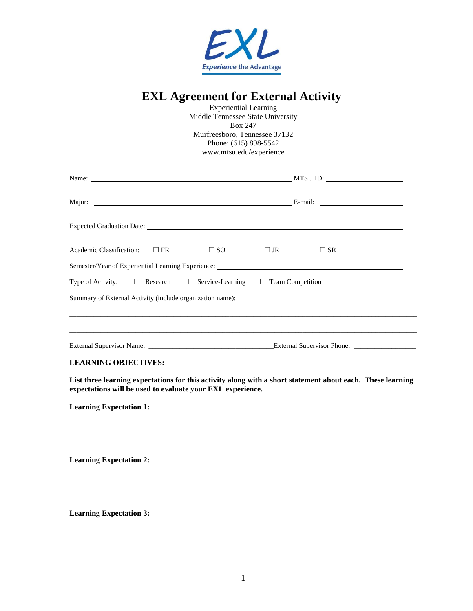

# **EXL Agreement for External Activity**

Experiential Learning Middle Tennessee State University Box 247 Murfreesboro, Tennessee 37132 Phone: (615) 898-5542 www.mtsu.edu/experience

| Name: Name:                                                                                | MTSU ID:     |           |              |  |  |
|--------------------------------------------------------------------------------------------|--------------|-----------|--------------|--|--|
|                                                                                            |              |           |              |  |  |
|                                                                                            |              |           |              |  |  |
| Academic Classification: $\Box$ FR                                                         | $\square$ SO | $\Box$ JR | $\square$ SR |  |  |
| Semester/Year of Experiential Learning Experience: _____________________________           |              |           |              |  |  |
| Type of Activity: $\square$ Research $\square$ Service-Learning $\square$ Team Competition |              |           |              |  |  |
| Summary of External Activity (include organization name):                                  |              |           |              |  |  |
|                                                                                            |              |           |              |  |  |
| External Supervisor Name: External Supervisor Phone: External Supervisor Phone:            |              |           |              |  |  |

# **LEARNING OBJECTIVES:**

**List three learning expectations for this activity along with a short statement about each. These learning expectations will be used to evaluate your EXL experience.**

**Learning Expectation 1:**

**Learning Expectation 2:**

**Learning Expectation 3:**